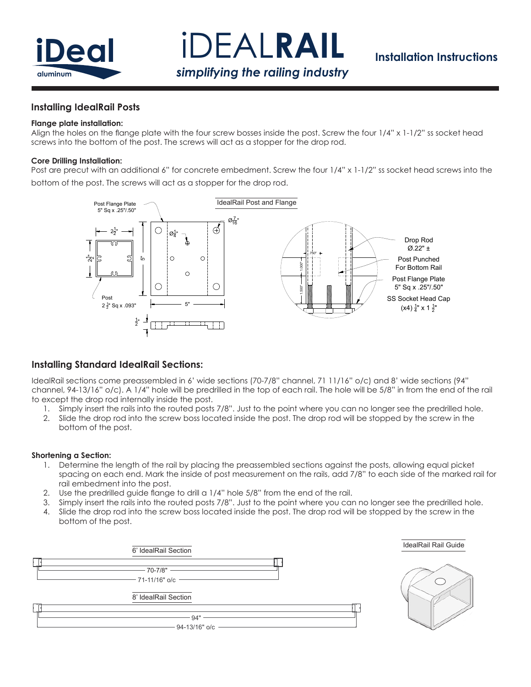

iDEAL**RAIL** *simplifying the railing industry*

# **Installation Instructions**

### **Installing IdealRail Posts**

#### **Flange plate installation:**

Align the holes on the flange plate with the four screw bosses inside the post. Screw the four 1/4" x 1-1/2" ss socket head screws into the bottom of the post. The screws will act as a stopper for the drop rod.

### **Core Drilling Installation:**

Post are precut with an additional 6" for concrete embedment. Screw the four  $1/4$ " x  $1-1/2$ " ss socket head screws into the bottom of the post. The screws will act as a stopper for the drop rod.



## **Installing Standard IdealRail Sections:**

IdealRail sections come preassembled in 6' wide sections (70-7/8" channel, 71 11/16" o/c) and 8' wide sections (94" channel, 94-13/16" o/c). A 1/4" hole will be predrilled in the top of each rail. The hole will be 5/8" in from the end of the rail to except the drop rod internally inside the post.

- 1. Simply insert the rails into the routed posts 7/8". Just to the point where you can no longer see the predrilled hole.
- 2. Slide the drop rod into the screw boss located inside the post. The drop rod will be stopped by the screw in the bottom of the post.

#### **Shortening a Section:**

- 1. Determine the length of the rail by placing the preassembled sections against the posts, allowing equal picket spacing on each end. Mark the inside of post measurement on the rails, add 7/8" to each side of the marked rail for rail embedment into the post.
- 2. Use the predrilled guide flange to drill a 1/4" hole 5/8" from the end of the rail.
- 3. Simply insert the rails into the routed posts 7/8". Just to the point where you can no longer see the predrilled hole.
- 4. Slide the drop rod into the screw boss located inside the post. The drop rod will be stopped by the screw in the bottom of the post.